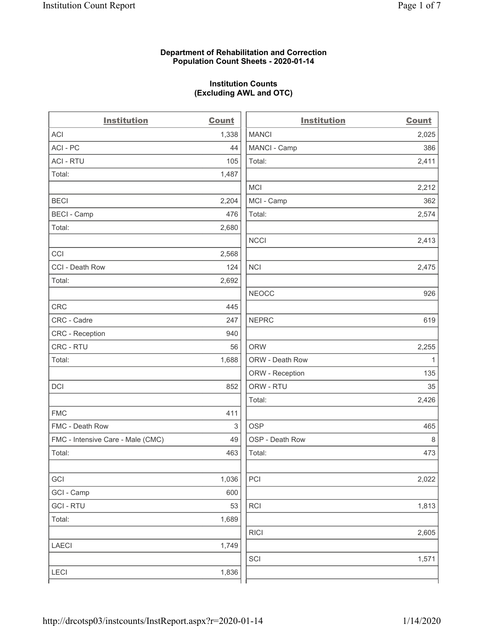### **Department of Rehabilitation and Correction Population Count Sheets - 2020-01-14**

# **Institution Counts (Excluding AWL and OTC)**

 $\overline{a}$ 

| <b>Institution</b>                | <b>Count</b> | <b>Institution</b> | <b>Count</b> |
|-----------------------------------|--------------|--------------------|--------------|
| <b>ACI</b>                        | 1,338        | <b>MANCI</b>       | 2,025        |
| ACI-PC                            | 44           | MANCI - Camp       | 386          |
| <b>ACI - RTU</b>                  | 105          | Total:             | 2,411        |
| Total:                            | 1,487        |                    |              |
|                                   |              | MCI                | 2,212        |
| <b>BECI</b>                       | 2,204        | MCI - Camp         | 362          |
| <b>BECI - Camp</b>                | 476          | Total:             | 2,574        |
| Total:                            | 2,680        |                    |              |
|                                   |              | <b>NCCI</b>        | 2,413        |
| CCI                               | 2,568        |                    |              |
| CCI - Death Row                   | 124          | <b>NCI</b>         | 2,475        |
| Total:                            | 2,692        |                    |              |
|                                   |              | <b>NEOCC</b>       | 926          |
| <b>CRC</b>                        | 445          |                    |              |
| CRC - Cadre                       | 247          | <b>NEPRC</b>       | 619          |
| CRC - Reception                   | 940          |                    |              |
| CRC - RTU                         | 56           | <b>ORW</b>         | 2,255        |
| Total:                            | 1,688        | ORW - Death Row    | 1            |
|                                   |              | ORW - Reception    | 135          |
| DCI                               | 852          | ORW - RTU          | 35           |
|                                   |              | Total:             | 2,426        |
| <b>FMC</b>                        | 411          |                    |              |
| FMC - Death Row                   | 3            | <b>OSP</b>         | 465          |
| FMC - Intensive Care - Male (CMC) | 49           | OSP - Death Row    | 8            |
| Total:                            | 463          | Total:             | 473          |
|                                   |              |                    |              |
| GCI                               | 1,036        | PCI                | 2,022        |
| GCI - Camp                        | 600          |                    |              |
| <b>GCI-RTU</b>                    | 53           | RCI                | 1,813        |
| Total:                            | 1,689        |                    |              |
|                                   |              | <b>RICI</b>        | 2,605        |
| <b>LAECI</b>                      | 1,749        |                    |              |
|                                   |              | SCI                | 1,571        |
| <b>LECI</b>                       | 1,836        |                    |              |
|                                   |              |                    |              |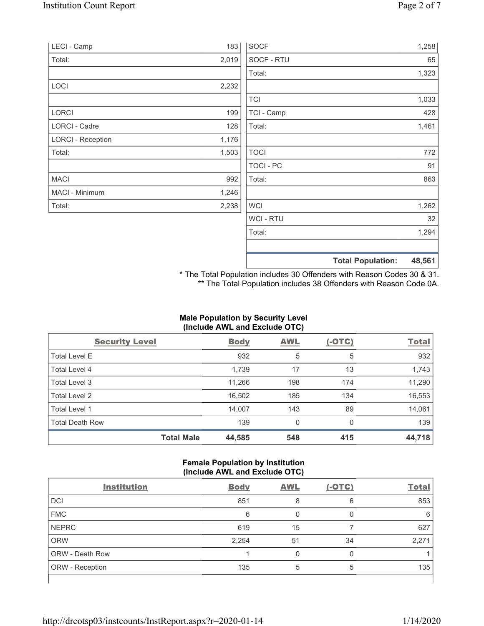| LECI - Camp              | 183   | <b>SOCF</b> |                          | 1,258  |
|--------------------------|-------|-------------|--------------------------|--------|
| Total:                   | 2,019 | SOCF - RTU  |                          | 65     |
|                          |       | Total:      |                          | 1,323  |
| LOCI                     | 2,232 |             |                          |        |
|                          |       | <b>TCI</b>  |                          | 1,033  |
| <b>LORCI</b>             | 199   | TCI - Camp  |                          | 428    |
| LORCI - Cadre            | 128   | Total:      |                          | 1,461  |
| <b>LORCI - Reception</b> | 1,176 |             |                          |        |
| Total:                   | 1,503 | <b>TOCI</b> |                          | 772    |
|                          |       | TOCI-PC     |                          | 91     |
| <b>MACI</b>              | 992   | Total:      |                          | 863    |
| MACI - Minimum           | 1,246 |             |                          |        |
| Total:                   | 2,238 | <b>WCI</b>  |                          | 1,262  |
|                          |       | WCI - RTU   |                          | 32     |
|                          |       | Total:      |                          | 1,294  |
|                          |       |             |                          |        |
|                          |       |             | <b>Total Population:</b> | 48,561 |

\* The Total Population includes 30 Offenders with Reason Codes 30 & 31. \*\* The Total Population includes 38 Offenders with Reason Code 0A.

## **Male Population by Security Level (Include AWL and Exclude OTC)**

| <b>Security Level</b>  |                   | <b>Body</b> | <b>AWL</b> | $(-OTC)$ | <b>Total</b> |
|------------------------|-------------------|-------------|------------|----------|--------------|
| <b>Total Level E</b>   |                   | 932         | 5          | 5        | 932          |
| Total Level 4          |                   | 1,739       | 17         | 13       | 1,743        |
| Total Level 3          |                   | 11,266      | 198        | 174      | 11,290       |
| Total Level 2          |                   | 16,502      | 185        | 134      | 16,553       |
| Total Level 1          |                   | 14,007      | 143        | 89       | 14,061       |
| <b>Total Death Row</b> |                   | 139         | 0          | $\Omega$ | 139          |
|                        | <b>Total Male</b> | 44,585      | 548        | 415      | 44,718       |

## **Female Population by Institution (Include AWL and Exclude OTC)**

| <b>Institution</b>     | <b>Body</b> | <b>AWL</b> | $(-OTC)$ | <b>Total</b> |
|------------------------|-------------|------------|----------|--------------|
| <b>DCI</b>             | 851         | 8          | 6        | 853          |
| <b>FMC</b>             | 6           |            |          | 6            |
| <b>NEPRC</b>           | 619         | 15         |          | 627          |
| <b>ORW</b>             | 2,254       | 51         | 34       | 2,271        |
| <b>ORW - Death Row</b> |             |            |          |              |
| ORW - Reception        | 135         |            | 5        | 135          |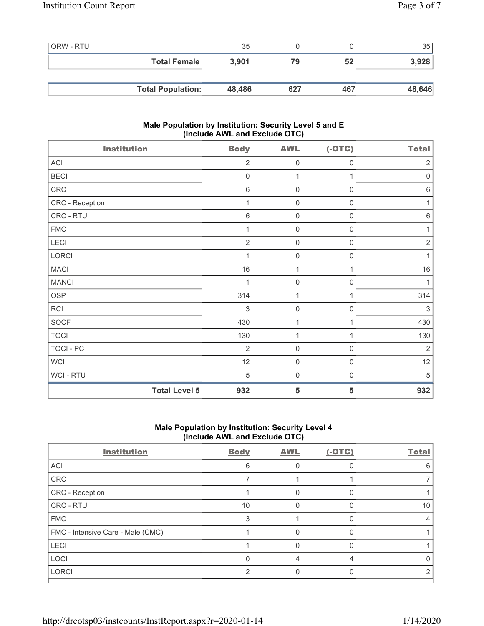| l ORW - RTU |                          | 35     |     |     | 35     |
|-------------|--------------------------|--------|-----|-----|--------|
|             | <b>Total Female</b>      | 3,901  | 79  | 52  | 3,928  |
|             |                          |        |     |     |        |
|             | <b>Total Population:</b> | 48,486 | 627 | 467 | 48,646 |

## **Male Population by Institution: Security Level 5 and E (Include AWL and Exclude OTC)**

| <b>Institution</b>   | <b>Body</b>    | <b>AWL</b>          | $(-OTC)$            | <b>Total</b>   |
|----------------------|----------------|---------------------|---------------------|----------------|
| ACI                  | $\overline{2}$ | $\mathsf{O}\xspace$ | 0                   | $\overline{2}$ |
| <b>BECI</b>          | $\mathbf 0$    | 1                   | 1                   | $\mathbf 0$    |
| CRC                  | $6\,$          | $\mathbf 0$         | $\mathbf 0$         | $6\,$          |
| CRC - Reception      | 1              | $\mathsf{O}\xspace$ | $\boldsymbol{0}$    | 1              |
| CRC - RTU            | $\,6$          | $\mathsf{O}\xspace$ | $\mathsf{O}\xspace$ | $\,6\,$        |
| <b>FMC</b>           | 1              | $\mathsf{O}\xspace$ | $\mathbf 0$         | 1              |
| LECI                 | $\overline{2}$ | $\mathbf 0$         | $\mathsf{O}\xspace$ | $\sqrt{2}$     |
| <b>LORCI</b>         | 1              | $\mathsf{O}\xspace$ | 0                   | 1              |
| <b>MACI</b>          | 16             | $\mathbf{1}$        | 1                   | 16             |
| <b>MANCI</b>         |                | $\mathsf{O}\xspace$ | 0                   | 1              |
| <b>OSP</b>           | 314            | 1                   | 1                   | 314            |
| RCI                  | 3              | $\mathsf{O}\xspace$ | 0                   | 3              |
| <b>SOCF</b>          | 430            | 1                   | 1                   | 430            |
| <b>TOCI</b>          | 130            | 1                   | 1                   | 130            |
| TOCI - PC            | $\overline{2}$ | $\mathbf 0$         | $\mathbf 0$         | $\overline{2}$ |
| <b>WCI</b>           | 12             | $\mathbf 0$         | $\mathbf 0$         | 12             |
| WCI - RTU            | 5              | $\mathbf 0$         | $\boldsymbol{0}$    | 5              |
| <b>Total Level 5</b> | 932            | 5                   | 5                   | 932            |

# **Male Population by Institution: Security Level 4 (Include AWL and Exclude OTC)**

| <b>Institution</b>                | <b>Body</b> | <b>AWL</b> | $(-OTC)$ | <b>Total</b> |
|-----------------------------------|-------------|------------|----------|--------------|
| ACI                               | 6           |            |          | 6            |
| CRC                               |             |            |          |              |
| CRC - Reception                   |             |            |          |              |
| CRC - RTU                         | 10          |            |          | 10           |
| <b>FMC</b>                        | 3           |            | n        |              |
| FMC - Intensive Care - Male (CMC) |             |            |          |              |
| LECI                              |             |            |          |              |
| LOCI                              |             |            |          |              |
| <b>LORCI</b>                      | 2           |            |          |              |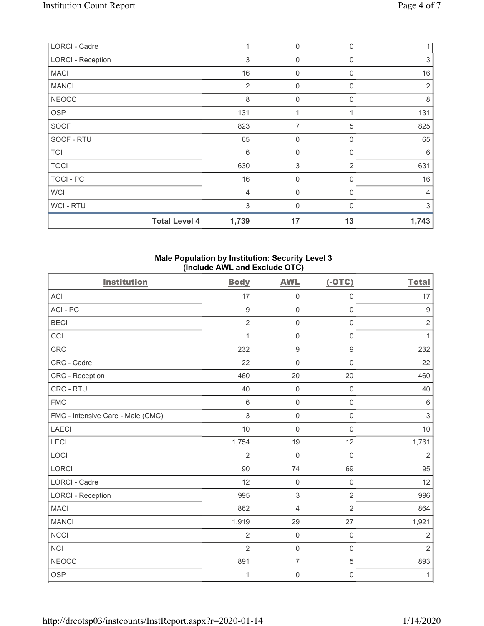| <b>LORCI - Cadre</b>     |                      | 1              | $\mathbf 0$    | $\mathbf 0$ | 1              |
|--------------------------|----------------------|----------------|----------------|-------------|----------------|
| <b>LORCI - Reception</b> |                      | 3              | $\overline{0}$ | 0           | $\,$ 3 $\,$    |
| <b>MACI</b>              |                      | 16             | $\overline{0}$ | 0           | 16             |
| <b>MANCI</b>             |                      | $\overline{2}$ | $\mathbf 0$    | 0           | 2              |
| <b>NEOCC</b>             |                      | 8              | $\mathbf 0$    | $\mathbf 0$ | 8              |
| <b>OSP</b>               |                      | 131            | 1              | 1           | 131            |
| <b>SOCF</b>              |                      | 823            | 7              | 5           | 825            |
| SOCF - RTU               |                      | 65             | $\overline{0}$ | $\Omega$    | 65             |
| <b>TCI</b>               |                      | 6              | $\mathbf 0$    | 0           | 6              |
| <b>TOCI</b>              |                      | 630            | 3              | 2           | 631            |
| <b>TOCI - PC</b>         |                      | 16             | $\overline{0}$ | $\mathbf 0$ | 16             |
| <b>WCI</b>               |                      | 4              | $\mathbf 0$    | $\mathbf 0$ | $\overline{4}$ |
| WCI - RTU                |                      | 3              | $\mathbf 0$    | O           | 3              |
|                          | <b>Total Level 4</b> | 1,739          | 17             | 13          | 1,743          |

## **Male Population by Institution: Security Level 3 (Include AWL and Exclude OTC)**

| <b>Institution</b>                | <b>Body</b>     | <b>AWL</b>       | $(-OTC)$            | <b>Total</b>   |
|-----------------------------------|-----------------|------------------|---------------------|----------------|
| ACI                               | 17              | $\mathbf 0$      | $\mathsf{O}\xspace$ | 17             |
| ACI-PC                            | $\overline{9}$  | $\mathbf 0$      | $\mathbf 0$         | $\overline{9}$ |
| <b>BECI</b>                       | $\overline{2}$  | $\mathbf 0$      | $\mathsf{O}\xspace$ | $\sqrt{2}$     |
| CCI                               | 1               | $\mathbf 0$      | $\mathsf 0$         | $\mathbf{1}$   |
| <b>CRC</b>                        | 232             | $\boldsymbol{9}$ | $\boldsymbol{9}$    | 232            |
| CRC - Cadre                       | 22              | $\mathbf 0$      | $\mathsf{O}\xspace$ | 22             |
| CRC - Reception                   | 460             | 20               | 20                  | 460            |
| CRC - RTU                         | 40              | $\mathbf 0$      | $\mathsf 0$         | 40             |
| <b>FMC</b>                        | $6\phantom{1}6$ | $\mathbf 0$      | $\mathsf 0$         | $\,6\,$        |
| FMC - Intensive Care - Male (CMC) | 3               | $\mathbf 0$      | $\mathsf 0$         | $\mathfrak{S}$ |
| <b>LAECI</b>                      | 10              | $\mathbf 0$      | $\mathbf 0$         | 10             |
| LECI                              | 1,754           | 19               | 12                  | 1,761          |
| LOCI                              | $\overline{2}$  | $\mathbf 0$      | $\mathsf 0$         | $\overline{2}$ |
| <b>LORCI</b>                      | 90              | 74               | 69                  | 95             |
| <b>LORCI - Cadre</b>              | 12              | $\mathbf 0$      | $\mathsf{O}\xspace$ | 12             |
| <b>LORCI - Reception</b>          | 995             | $\sqrt{3}$       | $\overline{2}$      | 996            |
| <b>MACI</b>                       | 862             | $\overline{4}$   | $\overline{2}$      | 864            |
| <b>MANCI</b>                      | 1,919           | 29               | 27                  | 1,921          |
| <b>NCCI</b>                       | $\overline{2}$  | $\mathbf 0$      | $\mathsf{O}\xspace$ | $\overline{2}$ |
| <b>NCI</b>                        | $\overline{2}$  | $\mathbf 0$      | $\mathbf 0$         | $\overline{2}$ |
| <b>NEOCC</b>                      | 891             | $\overline{7}$   | 5                   | 893            |
| <b>OSP</b>                        | 1               | $\mathbf 0$      | $\mathsf{O}\xspace$ | 1              |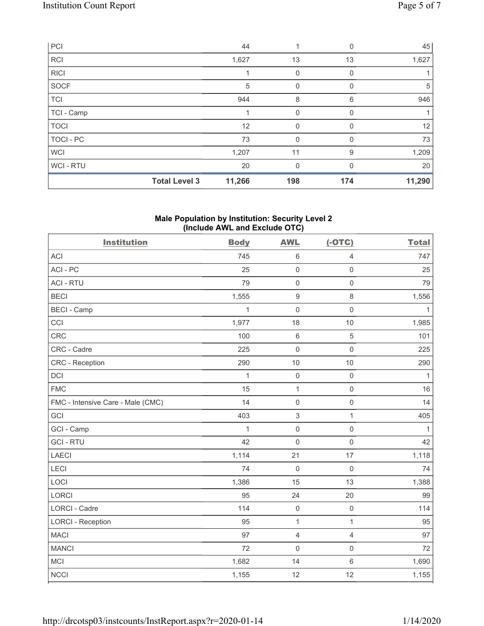| PCI         |                      | 44     |             | 0        | 45     |
|-------------|----------------------|--------|-------------|----------|--------|
| <b>RCI</b>  |                      | 1,627  | 13          | 13       | 1,627  |
| <b>RICI</b> |                      |        | 0           | 0        |        |
| SOCF        |                      | 5      | 0           | 0        | 5      |
| <b>TCI</b>  |                      | 944    | 8           | 6        | 946    |
| TCI - Camp  |                      |        | 0           | 0        |        |
| <b>TOCI</b> |                      | 12     | $\mathbf 0$ | $\Omega$ | 12     |
| TOCI - PC   |                      | 73     | 0           | 0        | 73     |
| <b>WCI</b>  |                      | 1,207  | 11          | 9        | 1,209  |
| WCI-RTU     |                      | 20     | 0           | 0        | 20     |
|             | <b>Total Level 3</b> | 11,266 | 198         | 174      | 11,290 |

## **Male Population by Institution: Security Level 2 (Include AWL and Exclude OTC)**

| <b>Institution</b>                | <b>Body</b>  | <b>AWL</b>          | $(-OTC)$            | <b>Total</b> |
|-----------------------------------|--------------|---------------------|---------------------|--------------|
| <b>ACI</b>                        | 745          | $\,6\,$             | $\overline{4}$      | 747          |
| ACI-PC                            | 25           | $\mathbf 0$         | $\mathsf{O}\xspace$ | 25           |
| <b>ACI - RTU</b>                  | 79           | $\mathbf 0$         | $\mathbf 0$         | 79           |
| <b>BECI</b>                       | 1,555        | $\boldsymbol{9}$    | $\,8\,$             | 1,556        |
| <b>BECI - Camp</b>                | $\mathbf{1}$ | $\mathbf 0$         | $\mathsf{O}\xspace$ | $\mathbf{1}$ |
| CCI                               | 1,977        | 18                  | 10                  | 1,985        |
| CRC                               | 100          | $\,6$               | 5                   | 101          |
| CRC - Cadre                       | 225          | $\mathbf 0$         | $\mathsf{O}\xspace$ | 225          |
| CRC - Reception                   | 290          | 10                  | 10                  | 290          |
| <b>DCI</b>                        | $\mathbf{1}$ | $\mathbf 0$         | $\mathbf 0$         | $\mathbf{1}$ |
| <b>FMC</b>                        | 15           | 1                   | $\mathsf{O}\xspace$ | 16           |
| FMC - Intensive Care - Male (CMC) | 14           | $\mathbf 0$         | $\mathsf{O}\xspace$ | 14           |
| GCI                               | 403          | $\sqrt{3}$          | 1                   | 405          |
| GCI - Camp                        | $\mathbf{1}$ | $\mathbf 0$         | $\mathsf 0$         | $\mathbf{1}$ |
| <b>GCI-RTU</b>                    | 42           | $\mathbf 0$         | $\mathsf 0$         | 42           |
| LAECI                             | 1,114        | 21                  | 17                  | 1,118        |
| LECI                              | 74           | $\mathbf 0$         | $\mathbf 0$         | 74           |
| LOCI                              | 1,386        | 15                  | 13                  | 1,388        |
| <b>LORCI</b>                      | 95           | 24                  | 20                  | 99           |
| LORCI - Cadre                     | 114          | $\mathsf{O}\xspace$ | $\mathbf 0$         | 114          |
| <b>LORCI - Reception</b>          | 95           | $\mathbf{1}$        | $\mathbf 1$         | 95           |
| <b>MACI</b>                       | 97           | $\overline{4}$      | $\overline{4}$      | 97           |
| <b>MANCI</b>                      | 72           | $\mathbf 0$         | $\mathsf{O}\xspace$ | 72           |
| MCI                               | 1,682        | 14                  | $\,6\,$             | 1,690        |
| <b>NCCI</b>                       | 1,155        | 12                  | 12                  | 1,155        |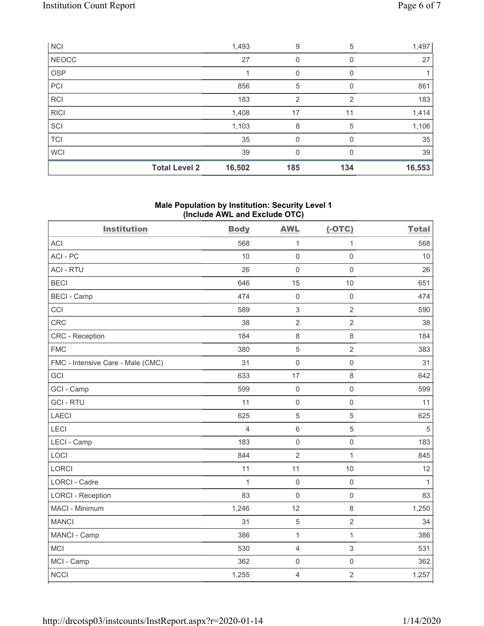| <b>NCI</b>   |                      | 1,493  | 9        | 5   | 1,497  |
|--------------|----------------------|--------|----------|-----|--------|
| <b>NEOCC</b> |                      | 27     | 0        | 0   | 27     |
| <b>OSP</b>   |                      |        | 0        |     |        |
| PCI          |                      | 856    | 5        |     | 861    |
| <b>RCI</b>   |                      | 183    | 2        | 2   | 183    |
| <b>RICI</b>  |                      | 1,408  | 17       | 11  | 1,414  |
| SCI          |                      | 1,103  | 8        | 5   | 1,106  |
| <b>TCI</b>   |                      | 35     | 0        |     | 35     |
| <b>WCI</b>   |                      | 39     | $\Omega$ | U   | 39     |
|              | <b>Total Level 2</b> | 16,502 | 185      | 134 | 16,553 |

## **Male Population by Institution: Security Level 1 (Include AWL and Exclude OTC)**

| <b>Institution</b>                | <b>Body</b>  | <b>AWL</b>          | $(-OTC)$            | <b>Total</b> |
|-----------------------------------|--------------|---------------------|---------------------|--------------|
| <b>ACI</b>                        | 568          | $\mathbf{1}$        | 1                   | 568          |
| ACI-PC                            | 10           | $\mathbf 0$         | $\mathbf 0$         | 10           |
| <b>ACI - RTU</b>                  | 26           | $\mathbf 0$         | $\mathsf 0$         | 26           |
| <b>BECI</b>                       | 646          | 15                  | 10                  | 651          |
| <b>BECI - Camp</b>                | 474          | $\mathbf 0$         | $\mathsf 0$         | 474          |
| CCI                               | 589          | $\,$ 3 $\,$         | $\overline{2}$      | 590          |
| CRC                               | 38           | $\overline{2}$      | $\sqrt{2}$          | 38           |
| <b>CRC</b> - Reception            | 184          | $\,8\,$             | $\,8\,$             | 184          |
| <b>FMC</b>                        | 380          | 5                   | $\overline{2}$      | 383          |
| FMC - Intensive Care - Male (CMC) | 31           | $\mathbf 0$         | $\mathsf 0$         | 31           |
| GCI                               | 633          | 17                  | $\,8\,$             | 642          |
| GCI - Camp                        | 599          | $\boldsymbol{0}$    | $\mathsf{O}\xspace$ | 599          |
| <b>GCI-RTU</b>                    | 11           | $\mathbf 0$         | $\mathbf 0$         | 11           |
| <b>LAECI</b>                      | 625          | 5                   | $\overline{5}$      | 625          |
| LECI                              | 4            | $\,6\,$             | $\sqrt{5}$          | 5            |
| LECI - Camp                       | 183          | $\mathbf 0$         | $\mathsf 0$         | 183          |
| LOCI                              | 844          | $\overline{2}$      | $\mathbf{1}$        | 845          |
| LORCI                             | 11           | 11                  | 10                  | 12           |
| <b>LORCI - Cadre</b>              | $\mathbf{1}$ | $\mathbf 0$         | $\mathsf 0$         | $\mathbf{1}$ |
| <b>LORCI - Reception</b>          | 83           | $\mathbf 0$         | $\mathsf 0$         | 83           |
| MACI - Minimum                    | 1,246        | 12                  | $\,8\,$             | 1,250        |
| <b>MANCI</b>                      | 31           | $\sqrt{5}$          | $\overline{2}$      | 34           |
| MANCI - Camp                      | 386          | $\mathbf 1$         | $\mathbf{1}$        | 386          |
| <b>MCI</b>                        | 530          | $\overline{4}$      | $\sqrt{3}$          | 531          |
| MCI - Camp                        | 362          | $\mathsf{O}\xspace$ | $\mathsf{O}\xspace$ | 362          |
| <b>NCCI</b>                       | 1,255        | $\overline{4}$      | $\overline{2}$      | 1,257        |